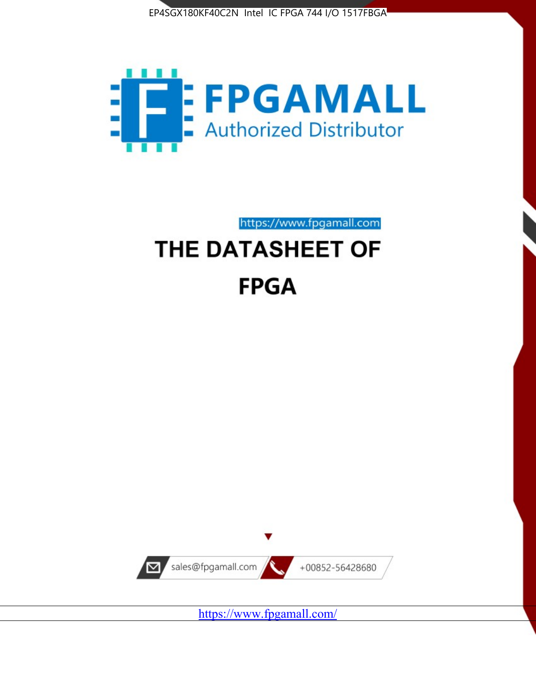



https://www.fpgamall.com

# THE DATASHEET OF **FPGA**



<https://www.fpgamall.com/>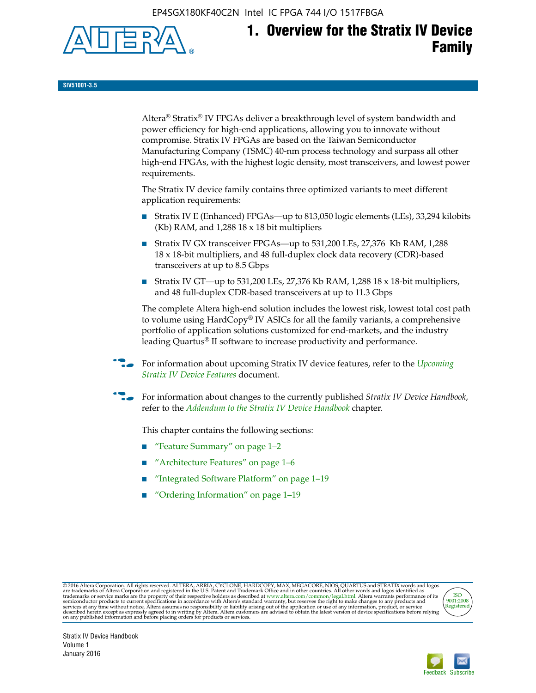EP4SGX180KF40C2N Intel IC FPGA 744 I/O 1517FBGA



# **1. Overview for the Stratix IV Device Family**

**SIV51001-3.5**

Altera® Stratix® IV FPGAs deliver a breakthrough level of system bandwidth and power efficiency for high-end applications, allowing you to innovate without compromise. Stratix IV FPGAs are based on the Taiwan Semiconductor Manufacturing Company (TSMC) 40-nm process technology and surpass all other high-end FPGAs, with the highest logic density, most transceivers, and lowest power requirements.

The Stratix IV device family contains three optimized variants to meet different application requirements:

- Stratix IV E (Enhanced) FPGAs—up to 813,050 logic elements (LEs), 33,294 kilobits (Kb) RAM, and 1,288 18 x 18 bit multipliers
- Stratix IV GX transceiver FPGAs—up to 531,200 LEs, 27,376 Kb RAM, 1,288 18 x 18-bit multipliers, and 48 full-duplex clock data recovery (CDR)-based transceivers at up to 8.5 Gbps
- Stratix IV GT—up to 531,200 LEs, 27,376 Kb RAM, 1,288 18 x 18-bit multipliers, and 48 full-duplex CDR-based transceivers at up to 11.3 Gbps

The complete Altera high-end solution includes the lowest risk, lowest total cost path to volume using HardCopy® IV ASICs for all the family variants, a comprehensive portfolio of application solutions customized for end-markets, and the industry leading Quartus® II software to increase productivity and performance.

For information about upcoming Stratix IV device features, refer to the *Upcoming [Stratix IV Device Features](http://www.altera.com/literature/hb/stratix-iv/uf01001.pdf?GSA_pos=2&WT.oss_r=1&WT.oss=upcoming)* document.

f For information about changes to the currently published *Stratix IV Device Handbook*, refer to the *[Addendum to the Stratix IV Device Handbook](http://www.altera.com/literature/hb/stratix-iv/stx4_siv54002.pdf)* chapter.

This chapter contains the following sections:

- "Feature Summary" on page 1–2
- "Architecture Features" on page 1–6
- "Integrated Software Platform" on page 1–19
- "Ordering Information" on page 1–19

@2016 Altera Corporation. All rights reserved. ALTERA, ARRIA, CYCLONE, HARDCOPY, MAX, MEGACORE, NIOS, QUARTUS and STRATIX words and logos are trademarks of Altera Corporation and registered in the U.S. Patent and Trademark



Stratix IV Device Handbook Volume 1 January 2016

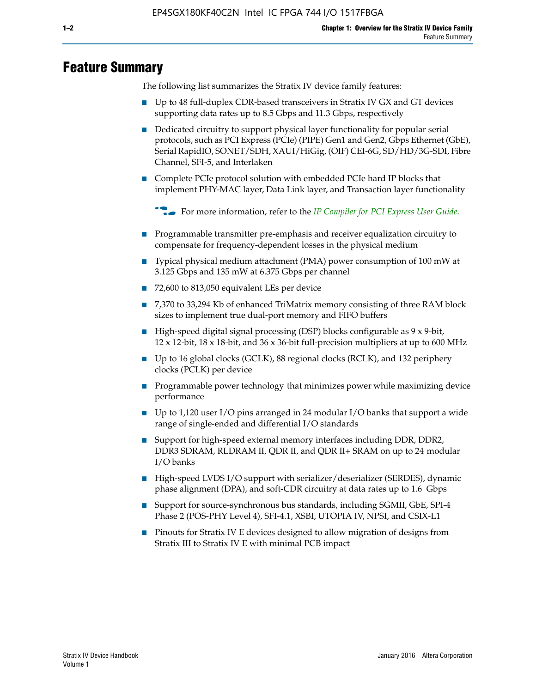# **Feature Summary**

The following list summarizes the Stratix IV device family features:

- Up to 48 full-duplex CDR-based transceivers in Stratix IV GX and GT devices supporting data rates up to 8.5 Gbps and 11.3 Gbps, respectively
- Dedicated circuitry to support physical layer functionality for popular serial protocols, such as PCI Express (PCIe) (PIPE) Gen1 and Gen2, Gbps Ethernet (GbE), Serial RapidIO, SONET/SDH, XAUI/HiGig, (OIF) CEI-6G, SD/HD/3G-SDI, Fibre Channel, SFI-5, and Interlaken
- Complete PCIe protocol solution with embedded PCIe hard IP blocks that implement PHY-MAC layer, Data Link layer, and Transaction layer functionality

**For more information, refer to the** *[IP Compiler for PCI Express User Guide](http://www.altera.com/literature/ug/ug_pci_express.pdf)***.** 

- Programmable transmitter pre-emphasis and receiver equalization circuitry to compensate for frequency-dependent losses in the physical medium
- Typical physical medium attachment (PMA) power consumption of 100 mW at 3.125 Gbps and 135 mW at 6.375 Gbps per channel
- 72,600 to 813,050 equivalent LEs per device
- 7,370 to 33,294 Kb of enhanced TriMatrix memory consisting of three RAM block sizes to implement true dual-port memory and FIFO buffers
- High-speed digital signal processing (DSP) blocks configurable as 9 x 9-bit,  $12 \times 12$ -bit,  $18 \times 18$ -bit, and  $36 \times 36$ -bit full-precision multipliers at up to 600 MHz
- Up to 16 global clocks (GCLK), 88 regional clocks (RCLK), and 132 periphery clocks (PCLK) per device
- Programmable power technology that minimizes power while maximizing device performance
- Up to 1,120 user I/O pins arranged in 24 modular I/O banks that support a wide range of single-ended and differential I/O standards
- Support for high-speed external memory interfaces including DDR, DDR2, DDR3 SDRAM, RLDRAM II, QDR II, and QDR II+ SRAM on up to 24 modular I/O banks
- High-speed LVDS I/O support with serializer/deserializer (SERDES), dynamic phase alignment (DPA), and soft-CDR circuitry at data rates up to 1.6 Gbps
- Support for source-synchronous bus standards, including SGMII, GbE, SPI-4 Phase 2 (POS-PHY Level 4), SFI-4.1, XSBI, UTOPIA IV, NPSI, and CSIX-L1
- Pinouts for Stratix IV E devices designed to allow migration of designs from Stratix III to Stratix IV E with minimal PCB impact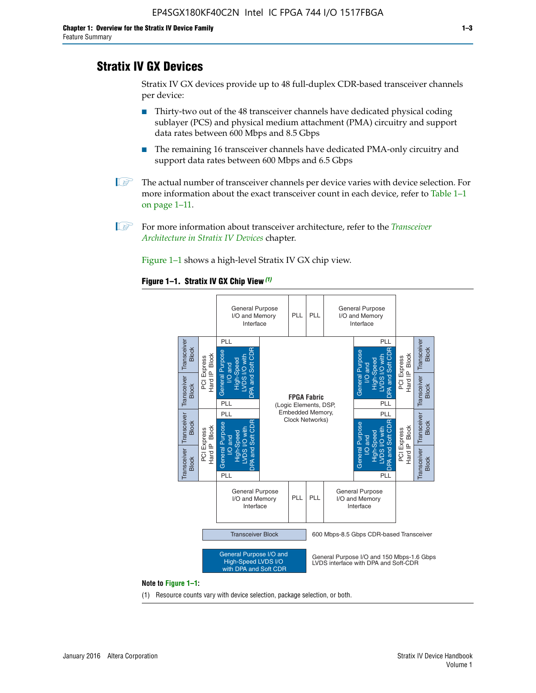# **Stratix IV GX Devices**

Stratix IV GX devices provide up to 48 full-duplex CDR-based transceiver channels per device:

- Thirty-two out of the 48 transceiver channels have dedicated physical coding sublayer (PCS) and physical medium attachment (PMA) circuitry and support data rates between 600 Mbps and 8.5 Gbps
- The remaining 16 transceiver channels have dedicated PMA-only circuitry and support data rates between 600 Mbps and 6.5 Gbps
- **1 The actual number of transceiver channels per device varies with device selection. For** more information about the exact transceiver count in each device, refer to Table 1–1 on page 1–11.
- 1 For more information about transceiver architecture, refer to the *[Transceiver](http://www.altera.com/literature/hb/stratix-iv/stx4_siv52001.pdf)  [Architecture in Stratix IV Devices](http://www.altera.com/literature/hb/stratix-iv/stx4_siv52001.pdf)* chapter.

Figure 1–1 shows a high-level Stratix IV GX chip view.

#### **Figure 1–1. Stratix IV GX Chip View** *(1)*



#### **Note to Figure 1–1:**

(1) Resource counts vary with device selection, package selection, or both.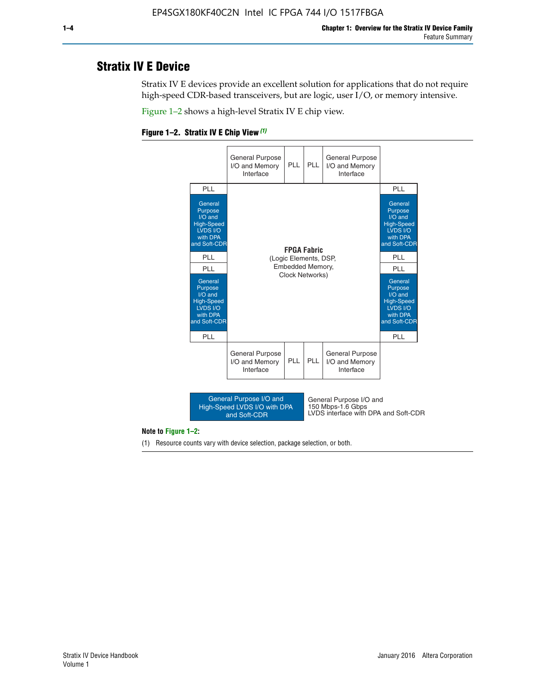# **Stratix IV E Device**

Stratix IV E devices provide an excellent solution for applications that do not require high-speed CDR-based transceivers, but are logic, user I/O, or memory intensive.

Figure 1–2 shows a high-level Stratix IV E chip view.





#### **Note to Figure 1–2:**

(1) Resource counts vary with device selection, package selection, or both.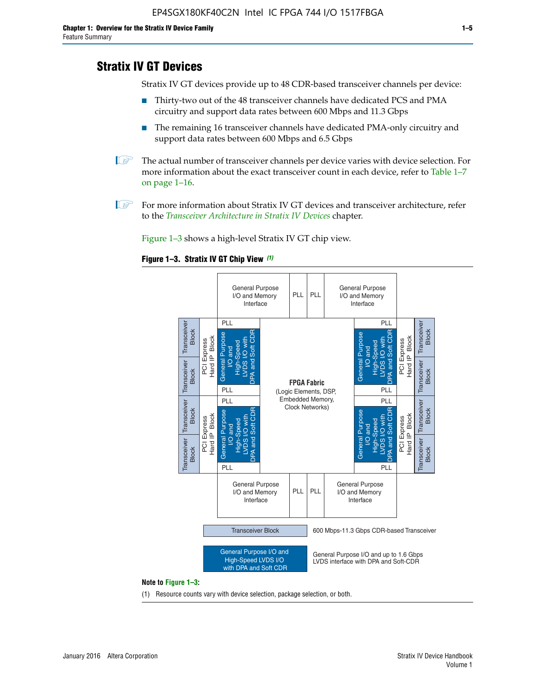# **Stratix IV GT Devices**

Stratix IV GT devices provide up to 48 CDR-based transceiver channels per device:

- Thirty-two out of the 48 transceiver channels have dedicated PCS and PMA circuitry and support data rates between 600 Mbps and 11.3 Gbps
- The remaining 16 transceiver channels have dedicated PMA-only circuitry and support data rates between 600 Mbps and 6.5 Gbps
- **1** The actual number of transceiver channels per device varies with device selection. For more information about the exact transceiver count in each device, refer to Table 1–7 on page 1–16.
- $\mathbb{I}$  For more information about Stratix IV GT devices and transceiver architecture, refer to the *[Transceiver Architecture in Stratix IV Devices](http://www.altera.com/literature/hb/stratix-iv/stx4_siv52001.pdf)* chapter.

Figure 1–3 shows a high-level Stratix IV GT chip view.

#### **Figure 1–3. Stratix IV GT Chip View** *(1)*



#### **Note to Figure 1–3:**

(1) Resource counts vary with device selection, package selection, or both.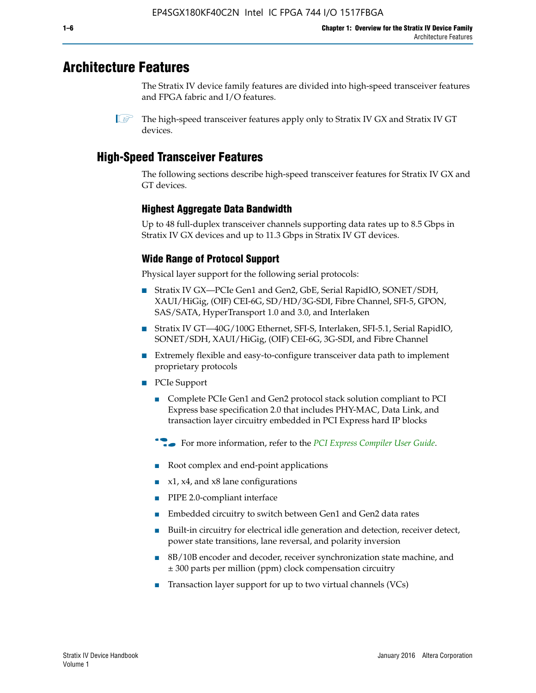# **Architecture Features**

The Stratix IV device family features are divided into high-speed transceiver features and FPGA fabric and I/O features.

# **High-Speed Transceiver Features**

The following sections describe high-speed transceiver features for Stratix IV GX and GT devices.

## **Highest Aggregate Data Bandwidth**

Up to 48 full-duplex transceiver channels supporting data rates up to 8.5 Gbps in Stratix IV GX devices and up to 11.3 Gbps in Stratix IV GT devices.

## **Wide Range of Protocol Support**

Physical layer support for the following serial protocols:

- Stratix IV GX—PCIe Gen1 and Gen2, GbE, Serial RapidIO, SONET/SDH, XAUI/HiGig, (OIF) CEI-6G, SD/HD/3G-SDI, Fibre Channel, SFI-5, GPON, SAS/SATA, HyperTransport 1.0 and 3.0, and Interlaken
- Stratix IV GT—40G/100G Ethernet, SFI-S, Interlaken, SFI-5.1, Serial RapidIO, SONET/SDH, XAUI/HiGig, (OIF) CEI-6G, 3G-SDI, and Fibre Channel
- Extremely flexible and easy-to-configure transceiver data path to implement proprietary protocols
- PCIe Support
	- Complete PCIe Gen1 and Gen2 protocol stack solution compliant to PCI Express base specification 2.0 that includes PHY-MAC, Data Link, and transaction layer circuitry embedded in PCI Express hard IP blocks
	- **For more information, refer to the [PCI Express Compiler User Guide](http://www.altera.com/literature/ug/ug_pci_express.pdf).**
	- Root complex and end-point applications
	- $x1, x4,$  and  $x8$  lane configurations
	- PIPE 2.0-compliant interface
	- Embedded circuitry to switch between Gen1 and Gen2 data rates
	- Built-in circuitry for electrical idle generation and detection, receiver detect, power state transitions, lane reversal, and polarity inversion
	- 8B/10B encoder and decoder, receiver synchronization state machine, and ± 300 parts per million (ppm) clock compensation circuitry
	- Transaction layer support for up to two virtual channels (VCs)

 $\mathbb{I}$  The high-speed transceiver features apply only to Stratix IV GX and Stratix IV GT devices.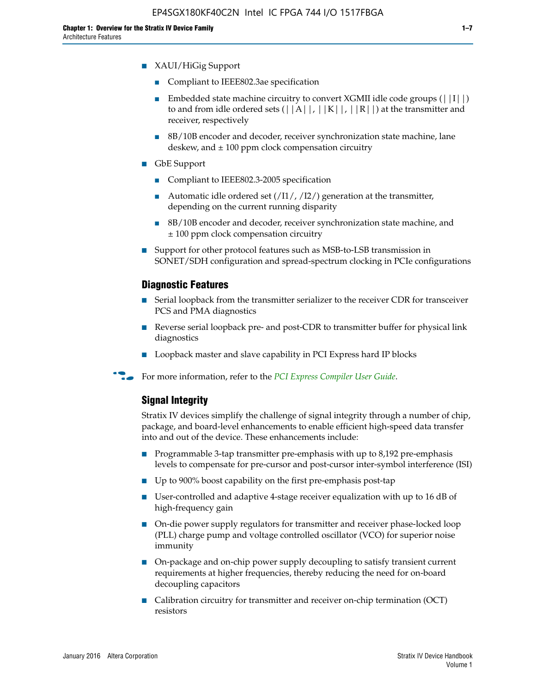- XAUI/HiGig Support
	- Compliant to IEEE802.3ae specification
	- **■** Embedded state machine circuitry to convert XGMII idle code groups  $(|11|)$ to and from idle ordered sets  $(|A|, |K|, |R|)$  at the transmitter and receiver, respectively
	- 8B/10B encoder and decoder, receiver synchronization state machine, lane deskew, and  $\pm 100$  ppm clock compensation circuitry
- GbE Support
	- Compliant to IEEE802.3-2005 specification
	- Automatic idle ordered set  $(111/112/1)$  generation at the transmitter, depending on the current running disparity
	- 8B/10B encoder and decoder, receiver synchronization state machine, and ± 100 ppm clock compensation circuitry
- Support for other protocol features such as MSB-to-LSB transmission in SONET/SDH configuration and spread-spectrum clocking in PCIe configurations

#### **Diagnostic Features**

- Serial loopback from the transmitter serializer to the receiver CDR for transceiver PCS and PMA diagnostics
- Reverse serial loopback pre- and post-CDR to transmitter buffer for physical link diagnostics
- Loopback master and slave capability in PCI Express hard IP blocks
- **For more information, refer to the** *[PCI Express Compiler User Guide](http://www.altera.com/literature/ug/ug_pci_express.pdf)***.**

#### **Signal Integrity**

Stratix IV devices simplify the challenge of signal integrity through a number of chip, package, and board-level enhancements to enable efficient high-speed data transfer into and out of the device. These enhancements include:

- Programmable 3-tap transmitter pre-emphasis with up to 8,192 pre-emphasis levels to compensate for pre-cursor and post-cursor inter-symbol interference (ISI)
- Up to 900% boost capability on the first pre-emphasis post-tap
- User-controlled and adaptive 4-stage receiver equalization with up to 16 dB of high-frequency gain
- On-die power supply regulators for transmitter and receiver phase-locked loop (PLL) charge pump and voltage controlled oscillator (VCO) for superior noise immunity
- On-package and on-chip power supply decoupling to satisfy transient current requirements at higher frequencies, thereby reducing the need for on-board decoupling capacitors
- Calibration circuitry for transmitter and receiver on-chip termination (OCT) resistors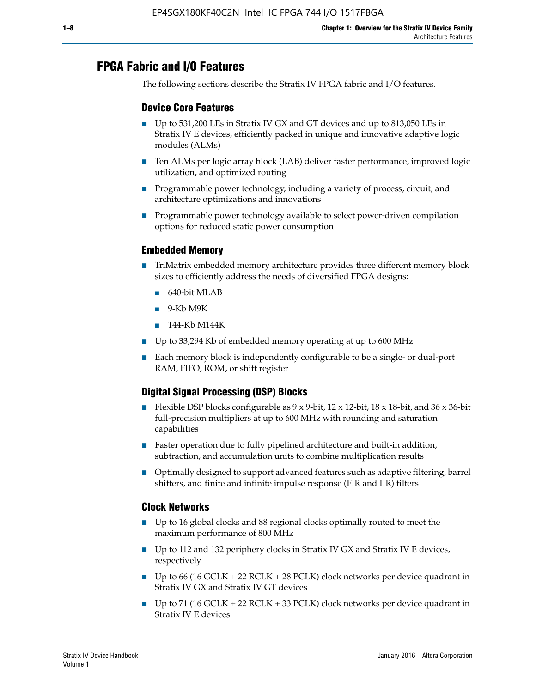# **FPGA Fabric and I/O Features**

The following sections describe the Stratix IV FPGA fabric and I/O features.

## **Device Core Features**

- Up to 531,200 LEs in Stratix IV GX and GT devices and up to 813,050 LEs in Stratix IV E devices, efficiently packed in unique and innovative adaptive logic modules (ALMs)
- Ten ALMs per logic array block (LAB) deliver faster performance, improved logic utilization, and optimized routing
- Programmable power technology, including a variety of process, circuit, and architecture optimizations and innovations
- Programmable power technology available to select power-driven compilation options for reduced static power consumption

## **Embedded Memory**

- TriMatrix embedded memory architecture provides three different memory block sizes to efficiently address the needs of diversified FPGA designs:
	- 640-bit MLAB
	- 9-Kb M9K
	- 144-Kb M144K
- Up to 33,294 Kb of embedded memory operating at up to 600 MHz
- Each memory block is independently configurable to be a single- or dual-port RAM, FIFO, ROM, or shift register

## **Digital Signal Processing (DSP) Blocks**

- Flexible DSP blocks configurable as  $9 \times 9$ -bit,  $12 \times 12$ -bit,  $18 \times 18$ -bit, and  $36 \times 36$ -bit full-precision multipliers at up to 600 MHz with rounding and saturation capabilities
- Faster operation due to fully pipelined architecture and built-in addition, subtraction, and accumulation units to combine multiplication results
- Optimally designed to support advanced features such as adaptive filtering, barrel shifters, and finite and infinite impulse response (FIR and IIR) filters

## **Clock Networks**

- Up to 16 global clocks and 88 regional clocks optimally routed to meet the maximum performance of 800 MHz
- Up to 112 and 132 periphery clocks in Stratix IV GX and Stratix IV E devices, respectively
- Up to 66 (16 GCLK + 22 RCLK + 28 PCLK) clock networks per device quadrant in Stratix IV GX and Stratix IV GT devices
- Up to 71 (16 GCLK + 22 RCLK + 33 PCLK) clock networks per device quadrant in Stratix IV E devices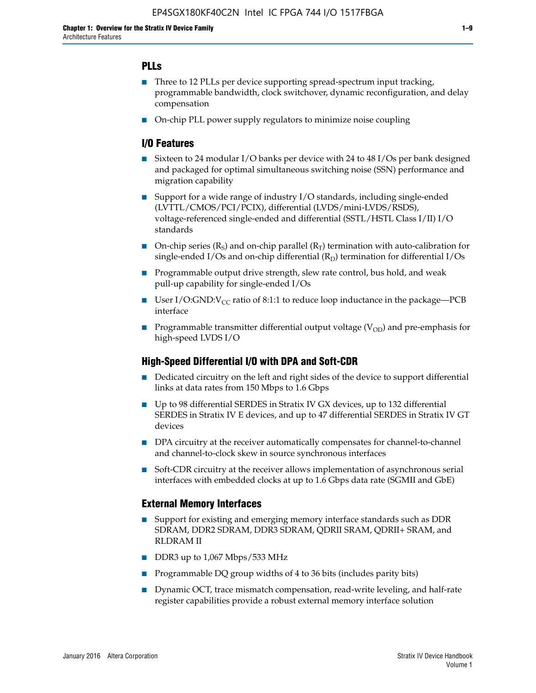## **PLLs**

- Three to 12 PLLs per device supporting spread-spectrum input tracking, programmable bandwidth, clock switchover, dynamic reconfiguration, and delay compensation
- On-chip PLL power supply regulators to minimize noise coupling

## **I/O Features**

- Sixteen to 24 modular I/O banks per device with 24 to 48 I/Os per bank designed and packaged for optimal simultaneous switching noise (SSN) performance and migration capability
- Support for a wide range of industry I/O standards, including single-ended (LVTTL/CMOS/PCI/PCIX), differential (LVDS/mini-LVDS/RSDS), voltage-referenced single-ended and differential (SSTL/HSTL Class I/II) I/O standards
- **O**n-chip series  $(R_S)$  and on-chip parallel  $(R_T)$  termination with auto-calibration for single-ended I/Os and on-chip differential  $(R_D)$  termination for differential I/Os
- Programmable output drive strength, slew rate control, bus hold, and weak pull-up capability for single-ended I/Os
- User I/O:GND: $V_{CC}$  ratio of 8:1:1 to reduce loop inductance in the package—PCB interface
- **■** Programmable transmitter differential output voltage ( $V_{OD}$ ) and pre-emphasis for high-speed LVDS I/O

#### **High-Speed Differential I/O with DPA and Soft-CDR**

- Dedicated circuitry on the left and right sides of the device to support differential links at data rates from 150 Mbps to 1.6 Gbps
- Up to 98 differential SERDES in Stratix IV GX devices, up to 132 differential SERDES in Stratix IV E devices, and up to 47 differential SERDES in Stratix IV GT devices
- DPA circuitry at the receiver automatically compensates for channel-to-channel and channel-to-clock skew in source synchronous interfaces
- Soft-CDR circuitry at the receiver allows implementation of asynchronous serial interfaces with embedded clocks at up to 1.6 Gbps data rate (SGMII and GbE)

#### **External Memory Interfaces**

- Support for existing and emerging memory interface standards such as DDR SDRAM, DDR2 SDRAM, DDR3 SDRAM, QDRII SRAM, QDRII+ SRAM, and RLDRAM II
- DDR3 up to 1,067 Mbps/533 MHz
- Programmable DQ group widths of 4 to 36 bits (includes parity bits)
- Dynamic OCT, trace mismatch compensation, read-write leveling, and half-rate register capabilities provide a robust external memory interface solution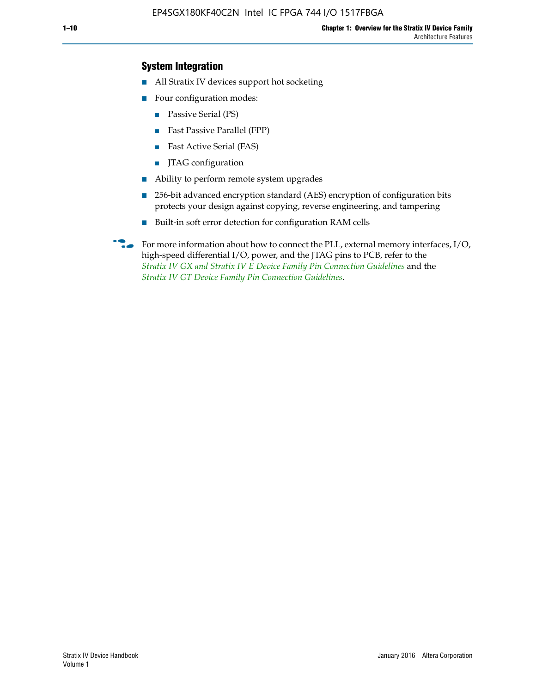## **System Integration**

- All Stratix IV devices support hot socketing
- Four configuration modes:
	- Passive Serial (PS)
	- Fast Passive Parallel (FPP)
	- Fast Active Serial (FAS)
	- JTAG configuration
- Ability to perform remote system upgrades
- 256-bit advanced encryption standard (AES) encryption of configuration bits protects your design against copying, reverse engineering, and tampering
- Built-in soft error detection for configuration RAM cells
- For more information about how to connect the PLL, external memory interfaces,  $I/O$ , high-speed differential I/O, power, and the JTAG pins to PCB, refer to the *[Stratix IV GX and Stratix IV E Device Family Pin Connection Guidelines](http://www.altera.com/literature/dp/stratix4/PCG-01005.pdf)* and the *[Stratix IV GT Device Family Pin Connection Guidelines](http://www.altera.com/literature/dp/stratix4/PCG-01006.pdf)*.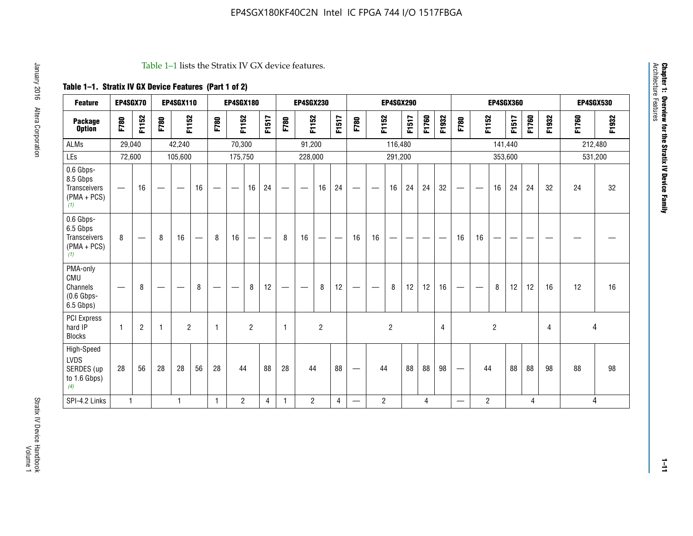#### Table 1–1 lists the Stratix IV GX device features.

# **Table 1–1. Stratix IV GX Device Features (Part 1 of 2)**

| <b>Feature</b>                                                       | EP4SGX70                       |                |                                  | <b>EP4SGX110</b> |    |              | <b>EP4SGX180</b>               |                |       |                          | <b>EP4SGX230</b>              |                |                             |                                |                | <b>EP4SGX290</b> |       |       |       |                                |                   |                | <b>EP4SGX360</b> |       |       | <b>EP4SGX530</b> |         |
|----------------------------------------------------------------------|--------------------------------|----------------|----------------------------------|------------------|----|--------------|--------------------------------|----------------|-------|--------------------------|-------------------------------|----------------|-----------------------------|--------------------------------|----------------|------------------|-------|-------|-------|--------------------------------|-------------------|----------------|------------------|-------|-------|------------------|---------|
| <b>Package</b><br><b>Option</b>                                      | F780                           | F1152          | F780                             | F1152            |    | F780         | F1152                          |                | F1517 | F780                     | F1152                         |                | F1517                       | F780                           | F1152          |                  | F1517 | F1760 | F1932 | F780                           | F1152             |                | F1517            | F1760 | F1932 | F1760            | F1932   |
| ALMs                                                                 | 29,040                         |                |                                  | 42,240           |    |              | 70,300                         |                |       |                          | 91,200                        |                |                             |                                |                | 116,480          |       |       |       |                                |                   |                | 141,440          |       |       | 212,480          |         |
| LEs                                                                  | 72,600                         |                |                                  | 105,600          |    |              | 175,750                        |                |       |                          | 228,000                       |                |                             |                                |                | 291,200          |       |       |       |                                |                   |                | 353,600          |       |       |                  | 531,200 |
| 0.6 Gbps-<br>8.5 Gbps<br><b>Transceivers</b><br>$(PMA + PCs)$<br>(1) | $\qquad \qquad \longleftarrow$ | 16             |                                  | —                | 16 | -            | $\qquad \qquad \longleftarrow$ | 16             | 24    |                          | $\overbrace{\phantom{aaaaa}}$ | 16             | 24                          | —                              |                | 16               | 24    | 24    | 32    | $\qquad \qquad \longleftarrow$ |                   | 16             | 24               | 24    | 32    | 24               | 32      |
| 0.6 Gbps-<br>6.5 Gbps<br>Transceivers<br>$(PMA + PCS)$<br>(1)        | 8                              |                | 8                                | 16               | -  | 8            | 16                             | --             | —     | 8                        | 16                            | —              | $\overbrace{\hspace{15em}}$ | 16                             | 16             |                  | –     |       |       | 16                             | 16                |                |                  |       |       |                  |         |
| PMA-only<br>CMU<br>Channels<br>$(0.6$ Gbps-<br>6.5 Gbps)             | $\overline{\phantom{0}}$       | 8              | $\overbrace{\phantom{12322111}}$ |                  | 8  |              |                                | 8              | 12    | $\overline{\phantom{0}}$ |                               | 8              | 12                          | —                              | –              | 8                | 12    | 12    | 16    | $\overline{\phantom{0}}$       | $\hspace{0.05cm}$ | 8              | 12               | 12    | 16    | 12               | 16      |
| <b>PCI Express</b><br>hard IP<br><b>Blocks</b>                       | $\mathbf{1}$                   | $\overline{2}$ | -1                               | $\overline{2}$   |    | $\mathbf{1}$ |                                | $\overline{2}$ |       | $\mathbf{1}$             |                               | $\overline{c}$ |                             |                                |                | $\overline{2}$   |       |       | 4     |                                |                   | $\overline{2}$ |                  |       | 4     |                  | 4       |
| High-Speed<br>LVDS<br>SERDES (up<br>to 1.6 Gbps)<br>(4)              | 28                             | 56             | 28                               | 28               | 56 | 28           | 44                             |                | 88    | 28                       | 44                            |                | 88                          | $\qquad \qquad \longleftarrow$ | 44             |                  | 88    | 88    | 98    |                                | 44                |                | 88               | 88    | 98    | 88               | 98      |
| SPI-4.2 Links                                                        | $\mathbf{1}$                   |                |                                  | 1                |    | $\mathbf{1}$ | $\overline{c}$                 |                | 4     | 1                        | $\overline{c}$                |                | 4                           | —                              | $\overline{2}$ |                  |       | 4     |       | $\overline{\phantom{0}}$       | $\overline{2}$    |                |                  | 4     |       |                  | 4       |

**Chapter 1: Overview for the Stratix IV Device Family**

**Chapter 1: Overview for the Stratix IV Device Family**<br>Architecture Features

Architecture Features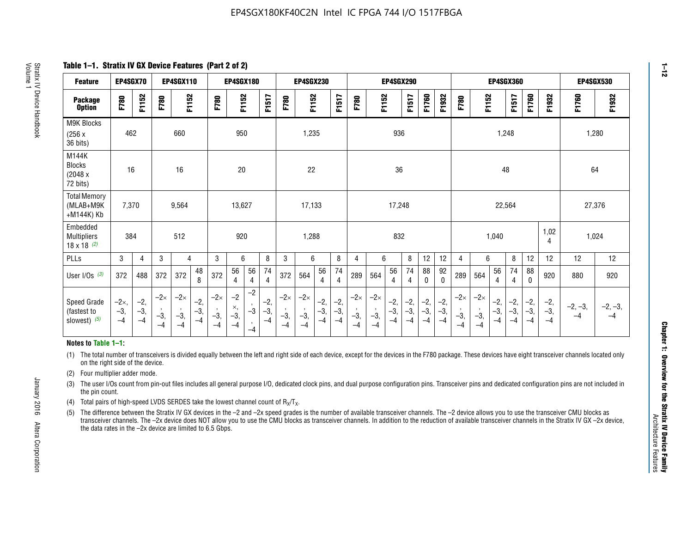**Table 1–1. Stratix IV GX Device Features (Part 2 of 2)**

| <b>Feature</b>                                       | EP4SGX70                |                        |                             | <b>EP4SGX110</b>            |                      |                             | <b>EP4SGX180</b>          |                                              |                        |                             | <b>EP4SGX230</b>            |                        |                      |                             |                             | EP4SGX290              |                      |                        |                        |                             |                             |                        | <b>EP4SGX360</b>     |                        |                        | <b>EP4SGX530</b>  |                   |
|------------------------------------------------------|-------------------------|------------------------|-----------------------------|-----------------------------|----------------------|-----------------------------|---------------------------|----------------------------------------------|------------------------|-----------------------------|-----------------------------|------------------------|----------------------|-----------------------------|-----------------------------|------------------------|----------------------|------------------------|------------------------|-----------------------------|-----------------------------|------------------------|----------------------|------------------------|------------------------|-------------------|-------------------|
| <b>Package</b><br><b>Option</b>                      | F780                    | F1152                  | F780                        | F1152                       |                      | F780                        | F1152                     |                                              | F1517                  | F780                        | F1152                       |                        | F1517                | F780                        | F1152                       |                        | F1517                | F1760                  | F1932                  | F780                        | F1152                       |                        | F1517                | F1760                  | F1932                  | F1760             | F1932             |
| M9K Blocks<br>(256x)<br>36 bits)                     | 462                     |                        |                             | 660                         |                      |                             | 950                       |                                              |                        |                             | 1,235                       |                        |                      |                             |                             | 936                    |                      |                        |                        |                             |                             | 1,248                  |                      |                        |                        | 1,280             |                   |
| M144K<br>Blocks<br>(2048 x<br>72 bits)               | 16                      |                        |                             | 16                          |                      |                             | 20                        |                                              |                        |                             | 22                          |                        |                      |                             |                             | 36                     |                      |                        |                        |                             |                             | 48                     |                      |                        |                        | 64                |                   |
| <b>Total Memory</b><br>(MLAB+M9K<br>+M144K) Kb       | 7,370                   |                        |                             | 9,564                       |                      |                             | 13,627                    |                                              |                        |                             | 17,133                      |                        |                      |                             |                             | 17,248                 |                      |                        |                        |                             |                             | 22,564                 |                      |                        |                        | 27,376            |                   |
| Embedded<br><b>Multipliers</b><br>$18 \times 18$ (2) | 384                     |                        |                             | 512                         |                      |                             | 920                       |                                              |                        |                             | 1,288                       |                        |                      |                             |                             | 832                    |                      |                        |                        |                             |                             | 1,040                  |                      |                        | 1,02<br>4              | 1,024             |                   |
| PLLs                                                 | 3                       | 4                      | 3                           | 4                           |                      | 3                           | 6                         |                                              | 8                      | 3                           | 6                           |                        | 8                    | 4                           | 6                           |                        | 8                    | 12                     | 12                     | 4                           | 6                           |                        | 8                    | 12                     | 12                     | 12                | 12                |
| User I/Os $(3)$                                      | 372                     | 488                    | 372                         | 372                         | 48<br>8              | 372                         | 56<br>4                   | 56<br>4                                      | 74<br>$\overline{4}$   | 372                         | 564                         | 56<br>4                | 74<br>$\overline{4}$ | 289                         | 564                         | 56<br>4                | 74<br>4              | 88<br>0                | 92<br>$\mathbf 0$      | 289                         | 564                         | 56<br>4                | 74<br>4              | 88<br>0                | 920                    | 880               | 920               |
| Speed Grade<br>(fastest to<br>slowest) (5)           | $-2x,$<br>$-3,$<br>$-4$ | $-2,$<br>$-3,$<br>$-4$ | $-2\times$<br>$-3,$<br>$-4$ | $-2\times$<br>$-3,$<br>$-4$ | $-2,$<br>-3,<br>$-4$ | $-2\times$<br>$-3,$<br>$-4$ | $-2$<br>×,<br>$-3,$<br>-4 | $-2$<br>$\,$<br>$-3$<br>$\mathbf{r}$<br>$-4$ | $-2,$<br>$-3,$<br>$-4$ | $-2\times$<br>$-3,$<br>$-4$ | $-2\times$<br>$-3,$<br>$-4$ | $-2,$<br>$-3,$<br>$-4$ | $-2,$<br>-3,<br>$-4$ | $-2\times$<br>$-3,$<br>$-4$ | $-2\times$<br>$-3,$<br>$-4$ | $-2,$<br>$-3,$<br>$-4$ | $-2,$<br>-3,<br>$-4$ | $-2,$<br>$-3,$<br>$-4$ | $-2,$<br>$-3,$<br>$-4$ | $-2\times$<br>$-3,$<br>$-4$ | $-2\times$<br>$-3,$<br>$-4$ | $-2,$<br>$-3,$<br>$-4$ | $-2,$<br>-3,<br>$-4$ | $-2,$<br>$-3,$<br>$-4$ | $-2,$<br>$-3,$<br>$-4$ | $-2, -3,$<br>$-4$ | $-2, -3,$<br>$-4$ |

#### **Notes to Table 1–1:**

(1) The total number of transceivers is divided equally between the left and right side of each device, except for the devices in the F780 package. These devices have eight transceiver channels located only on the right side of the device.

- (2) Four multiplier adder mode.
- (3) The user I/Os count from pin-out files includes all general purpose I/O, dedicated clock pins, and dual purpose configuration pins. Transceiver pins and dedicated configuration pins are not included in the pin count.
- (4) Total pairs of high-speed LVDS SERDES take the lowest channel count of  $R_X/T_X$ .
- (5) The difference between the Stratix IV GX devices in the –2 and –2x speed grades is the number of available transceiver channels. The –2 device allows you to use the transceiver CMU blocks as transceiver channels. The –2x device does NOT allow you to use the CMU blocks as transceiver channels. In addition to the reduction of available transceiver channels in the Stratix IV GX –2x device, the data rates in the –2x device are limited to 6.5 Gbps.

January 2016 Altera Corporation

Altera Corporation

January 2016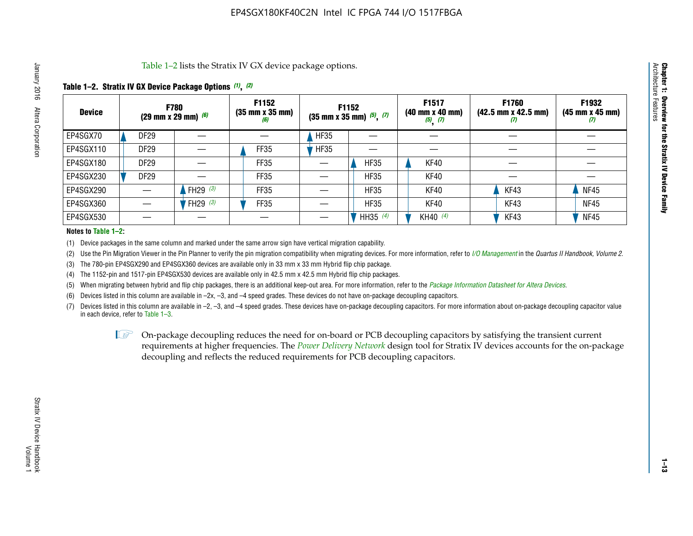Table 1–2 lists the Stratix IV GX device package options.

## **Table 1–2. Stratix IV GX Device Package Options** *(1)***,** *(2)*

| <b>Device</b> |                  | <b>F780</b><br>(29 mm x 29 mm) $(6)$ | F1152<br>$(35 \, \text{mm} \times 35 \, \text{mm})$<br>(6) |             | F1152<br>$(35$ mm x 35 mm) $(5)$ , $(7)$ | F1517<br>(40 mm x 40 mm)<br>$(5)$ $(7)$ | <b>F1760</b><br>$(42.5 \text{ mm} \times 42.5 \text{ mm})$<br>$\boldsymbol{U}$ | F1932<br>$(45 \, \text{mm} \times 45 \, \text{mm})$<br>(7) |
|---------------|------------------|--------------------------------------|------------------------------------------------------------|-------------|------------------------------------------|-----------------------------------------|--------------------------------------------------------------------------------|------------------------------------------------------------|
| EP4SGX70      | DF <sub>29</sub> |                                      |                                                            | HF35        |                                          |                                         |                                                                                |                                                            |
| EP4SGX110     | DF <sub>29</sub> |                                      | FF35                                                       | <b>HF35</b> |                                          |                                         |                                                                                |                                                            |
| EP4SGX180     | DF <sub>29</sub> |                                      | FF35                                                       |             | <b>HF35</b>                              | KF40                                    |                                                                                |                                                            |
| EP4SGX230     | <b>DF29</b>      |                                      | FF35                                                       |             | <b>HF35</b>                              | KF40                                    |                                                                                |                                                            |
| EP4SGX290     |                  | FH29 $(3)$                           | FF35                                                       |             | <b>HF35</b>                              | <b>KF40</b>                             | KF43                                                                           | <b>NF45</b>                                                |
| EP4SGX360     |                  | FH29 $(3)$                           | FF35                                                       |             | <b>HF35</b>                              | KF40                                    | KF43                                                                           | <b>NF45</b>                                                |
| EP4SGX530     |                  |                                      |                                                            |             | HH35 $(4)$                               | KH40 (4)                                | KF43                                                                           | <b>NF45</b>                                                |

#### **Notes to Table 1–2:**

(1) Device packages in the same column and marked under the same arrow sign have vertical migration capability.

(2) Use the Pin Migration Viewer in the Pin Planner to verify the pin migration compatibility when migrating devices. For more information, refer to *[I/O Management](http://www.altera.com/literature/hb/qts/qts_qii52013.pdf)* in the *Quartus II Handbook, Volume 2*.

(3) The 780-pin EP4SGX290 and EP4SGX360 devices are available only in 33 mm x 33 mm Hybrid flip chip package.

(4) The 1152-pin and 1517-pin EP4SGX530 devices are available only in 42.5 mm x 42.5 mm Hybrid flip chip packages.

(5) When migrating between hybrid and flip chip packages, there is an additional keep-out area. For more information, refer to the *[Package Information Datasheet for Altera Devices](http://www.altera.com/literature/ds/dspkg.pdf)*.

(6) Devices listed in this column are available in –2x, –3, and –4 speed grades. These devices do not have on-package decoupling capacitors.

(7) Devices listed in this column are available in –2, –3, and –4 speed grades. These devices have on-package decoupling capacitors. For more information about on-package decoupling capacitor value in each device, refer to Table 1–3.

 $\mathbb{L}$ s On-package decoupling reduces the need for on-board or PCB decoupling capacitors by satisfying the transient current requirements at higher frequencies. The *[Power Delivery Network](http://www.altera.com/literature/ug/pdn_tool_stxiv.zip)* design tool for Stratix IV devices accounts for the on-package decoupling and reflects the reduced requirements for PCB decoupling capacitors.

**Chapter 1: Overview for the Stratix IV Device Family**

Chapter 1: Overview for the Stratix IV Device Family<br>Architecture Features

Architecture Features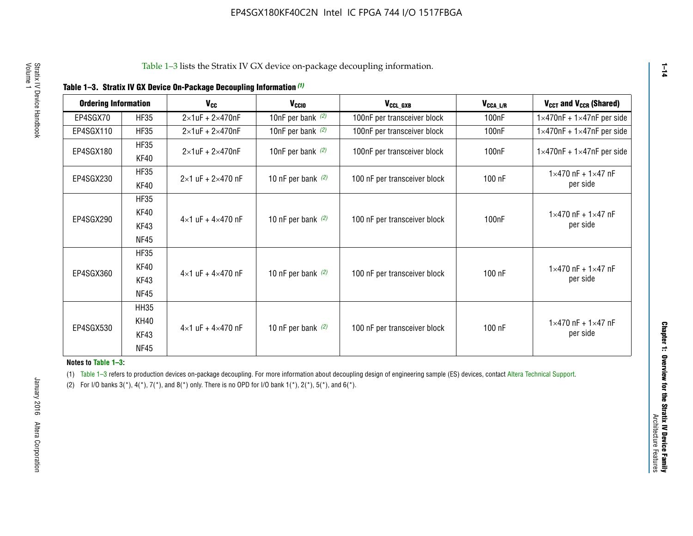|  |  | Table 1-3. Stratix IV GX Device On-Package Decoupling Information (1) |  |  |
|--|--|-----------------------------------------------------------------------|--|--|
|--|--|-----------------------------------------------------------------------|--|--|

| <b>Ordering Information</b> |             | <b>V<sub>cc</sub></b>               | V <sub>ccio</sub>    | V <sub>CCL_GXB</sub>         | $V_{\texttt{CCA}\_\textsf{L/R}}$ | $V_{CCT}$ and $V_{CCR}$ (Shared)              |  |
|-----------------------------|-------------|-------------------------------------|----------------------|------------------------------|----------------------------------|-----------------------------------------------|--|
|                             |             |                                     |                      |                              |                                  |                                               |  |
| EP4SGX70                    | <b>HF35</b> | $2\times1$ uF + $2\times470$ nF     | 10nF per bank $(2)$  | 100nF per transceiver block  | 100nF                            | $1 \times 470$ nF + $1 \times 47$ nF per side |  |
| EP4SGX110                   | <b>HF35</b> | $2\times1$ uF + 2 $\times$ 470nF    | 10nF per bank $(2)$  | 100nF per transceiver block  | 100 <sub>nF</sub>                | $1\times470$ nF + $1\times47$ nF per side     |  |
| EP4SGX180                   | <b>HF35</b> | $2\times1$ uF + $2\times470$ nF     | 10nF per bank $(2)$  | 100nF per transceiver block  | 100 <sub>n</sub> F               | $1 \times 470$ nF + $1 \times 47$ nF per side |  |
|                             | KF40        |                                     |                      |                              |                                  |                                               |  |
|                             | <b>HF35</b> |                                     |                      |                              |                                  | $1 \times 470$ nF + $1 \times 47$ nF          |  |
| EP4SGX230                   | KF40        | $2\times1$ uF + $2\times470$ nF     | 10 nF per bank $(2)$ | 100 nF per transceiver block | 100 nF                           | per side                                      |  |
|                             | <b>HF35</b> |                                     |                      |                              |                                  |                                               |  |
|                             | KF40        |                                     |                      |                              |                                  | $1 \times 470$ nF + $1 \times 47$ nF          |  |
| EP4SGX290                   | KF43        | $4 \times 1$ uF + $4 \times 470$ nF | 10 nF per bank $(2)$ | 100 nF per transceiver block | 100nF                            | per side                                      |  |
|                             | <b>NF45</b> |                                     |                      |                              |                                  |                                               |  |
|                             | <b>HF35</b> |                                     |                      |                              |                                  |                                               |  |
|                             | KF40        |                                     |                      |                              |                                  | $1 \times 470$ nF + $1 \times 47$ nF          |  |
| EP4SGX360                   | KF43        | $4 \times 1$ uF + $4 \times 470$ nF | 10 nF per bank $(2)$ | 100 nF per transceiver block | 100 nF                           | per side                                      |  |
|                             | <b>NF45</b> |                                     |                      |                              |                                  |                                               |  |
|                             | <b>HH35</b> |                                     |                      |                              |                                  |                                               |  |
|                             | <b>KH40</b> |                                     |                      |                              |                                  | $1 \times 470$ nF + $1 \times 47$ nF          |  |
| EP4SGX530                   | KF43        | $4 \times 1$ uF + $4 \times 470$ nF | 10 nF per bank $(2)$ | 100 nF per transceiver block | 100 nF                           | per side                                      |  |
|                             | <b>NF45</b> |                                     |                      |                              |                                  |                                               |  |

**Notes to Table 1–3:**

(1) Table 1-3 refers to production devices on-package decoupling. For more information about decoupling design of engineering sample (ES) devices, contact [Altera Technical Support](http://mysupport.altera.com/eservice/login.asp).

(2) For I/O banks  $3(*)$ ,  $4(*)$ ,  $7(*)$ , and  $8(*)$  only. There is no OPD for I/O bank  $1(*)$ ,  $2(*)$ ,  $5(*)$ , and  $6(*)$ .

**1–14**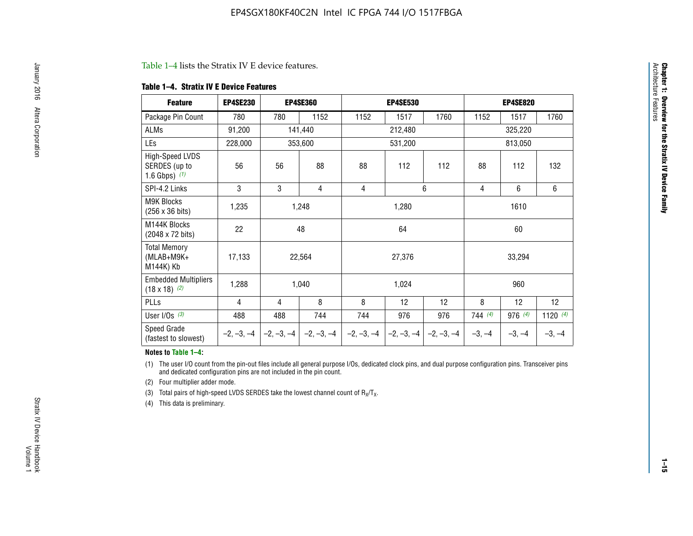#### Table 1–4 lists the Stratix IV E device features.

#### **Table 1–4. Stratix IV E Device Features**

| <b>Feature</b>                                      | <b>EP4SE230</b> |     | <b>EP4SE360</b>                          |              | <b>EP4SE530</b> |              | <b>EP4SE820</b> |          |            |  |
|-----------------------------------------------------|-----------------|-----|------------------------------------------|--------------|-----------------|--------------|-----------------|----------|------------|--|
| Package Pin Count                                   | 780             | 780 | 1152                                     | 1152         | 1517            | 1760         | 1152            | 1517     | 1760       |  |
| ALMs                                                | 91,200          |     | 141,440                                  |              | 212,480         |              |                 | 325,220  |            |  |
| LEs                                                 | 228,000         |     | 353,600                                  |              | 531,200         |              |                 | 813,050  |            |  |
| High-Speed LVDS<br>SERDES (up to<br>1.6 Gbps) $(1)$ | 56              | 56  | 88                                       | 88           | 112             | 112          | 88              | 112      | 132        |  |
| SPI-4.2 Links                                       | 3               | 3   | 4                                        | 4            |                 | 6            | 4               | 6        | 6          |  |
| <b>M9K Blocks</b><br>(256 x 36 bits)                | 1,235           |     | 1,248                                    |              | 1,280           |              | 1610            |          |            |  |
| M144K Blocks<br>(2048 x 72 bits)                    | 22              |     | 48<br>64                                 |              |                 |              | 60              |          |            |  |
| <b>Total Memory</b><br>$(MLAB+M9K+$<br>M144K) Kb    | 17,133          |     | 22,564                                   |              | 27,376          |              | 33,294          |          |            |  |
| <b>Embedded Multipliers</b><br>$(18 \times 18)$ (2) | 1,288           |     | 1,040                                    |              | 1,024           |              |                 | 960      |            |  |
| PLLs                                                | 4               | 4   | 8                                        | 8            | 12              | 12           | 8               | 12       | 12         |  |
| User I/Os $(3)$                                     | 488             | 488 | 744                                      | 744          | 976             | 976          | 744 (4)         | 976 (4)  | 1120 $(4)$ |  |
| Speed Grade<br>(fastest to slowest)                 |                 |     | $-2, -3, -4$ $ -2, -3, -4$ $ -2, -3, -4$ | $-2, -3, -4$ | $-2, -3, -4$    | $-2, -3, -4$ | $-3, -4$        | $-3, -4$ | $-3, -4$   |  |

#### **Notes to Table 1–4:**

(1) The user I/O count from the pin-out files include all general purpose I/Os, dedicated clock pins, and dual purpose configuration pins. Transceiver pins and dedicated configuration pins are not included in the pin count.

(2) Four multiplier adder mode.

(3) Total pairs of high-speed LVDS SERDES take the lowest channel count of  $R_X/T_X$ .

(4) This data is preliminary.

**Chapter 1: Overview for the Stratix IV Device Family**

**Chapter 1: Overview for the Stratix IV Device Family**<br>Architecture Faatures

Architecture Features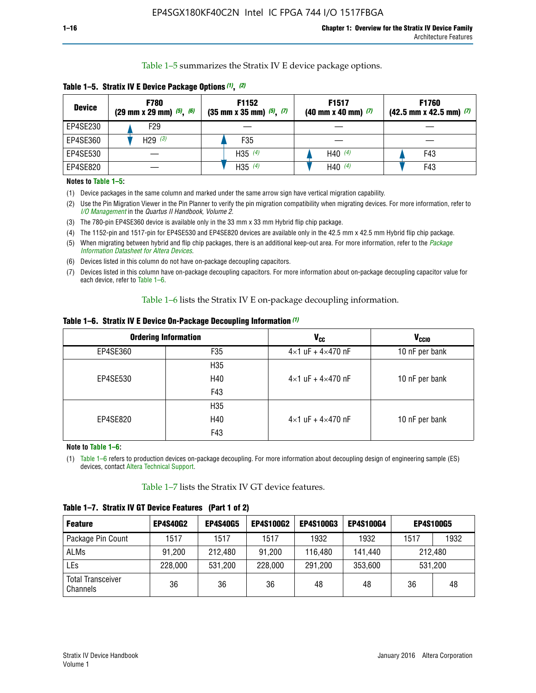Table 1–5 summarizes the Stratix IV E device package options.

| <b>Device</b> | <b>F780</b><br>$(29 \text{ mm} \times 29 \text{ mm})$ $(5)$ , $(6)$ | F1152<br>$(35 \text{ mm} \times 35 \text{ mm})$ $(5)$ $(7)$ | F <sub>1517</sub><br>$(40 \text{ mm} \times 40 \text{ mm})$ (7) | <b>F1760</b><br>$(42.5$ mm x 42.5 mm) $(7)$ |
|---------------|---------------------------------------------------------------------|-------------------------------------------------------------|-----------------------------------------------------------------|---------------------------------------------|
| EP4SE230      | F <sub>29</sub>                                                     |                                                             |                                                                 |                                             |
| EP4SE360      | H29 $(3)$                                                           | F35                                                         |                                                                 |                                             |
| EP4SE530      |                                                                     | H35 $(4)$                                                   | H40 $(4)$                                                       | F43                                         |
| EP4SE820      |                                                                     | H35 $(4)$                                                   | H40 $(4)$                                                       | F43                                         |

**Table 1–5. Stratix IV E Device Package Options** *(1)***,** *(2)*

#### **Notes to Table 1–5:**

(1) Device packages in the same column and marked under the same arrow sign have vertical migration capability.

(2) Use the Pin Migration Viewer in the Pin Planner to verify the pin migration compatibility when migrating devices. For more information, refer to *[I/O Management](http://www.altera.com/literature/hb/qts/qts_qii52013.pdf)* in the *Quartus II Handbook, Volume 2*.

(3) The 780-pin EP4SE360 device is available only in the 33 mm x 33 mm Hybrid flip chip package.

(4) The 1152-pin and 1517-pin for EP4SE530 and EP4SE820 devices are available only in the 42.5 mm x 42.5 mm Hybrid flip chip package.

(5) When migrating between hybrid and flip chip packages, there is an additional keep-out area. For more information, refer to the *[Package](http://www.altera.com/literature/ds/dspkg.pdf)  [Information Datasheet for Altera Devices](http://www.altera.com/literature/ds/dspkg.pdf)*.

(6) Devices listed in this column do not have on-package decoupling capacitors.

(7) Devices listed in this column have on-package decoupling capacitors. For more information about on-package decoupling capacitor value for each device, refer to Table 1–6.

Table 1–6 lists the Stratix IV E on-package decoupling information.

| Table 1–6. Stratix IV E Device On-Package Decoupling Information (1) |  |  |  |  |  |
|----------------------------------------------------------------------|--|--|--|--|--|
|----------------------------------------------------------------------|--|--|--|--|--|

|          | <b>Ordering Information</b> | <b>V<sub>cc</sub></b>               | <b>V<sub>CCIO</sub></b> |
|----------|-----------------------------|-------------------------------------|-------------------------|
| EP4SE360 | F35                         | $4 \times 1$ uF + $4 \times 470$ nF | 10 nF per bank          |
|          | H <sub>35</sub>             |                                     |                         |
| EP4SE530 | H40                         | $4 \times 1$ uF + $4 \times 470$ nF | 10 nF per bank          |
|          | F43                         |                                     |                         |
|          | H <sub>35</sub>             |                                     |                         |
| EP4SE820 | H40                         | $4 \times 1$ uF + $4 \times 470$ nF | 10 nF per bank          |
|          | F43                         |                                     |                         |

**Note to Table 1–6:**

(1) Table 1–6 refers to production devices on-package decoupling. For more information about decoupling design of engineering sample (ES) devices, contact [Altera Technical Support](http://mysupport.altera.com/eservice/login.asp).

Table 1–7 lists the Stratix IV GT device features.

| <b>Feature</b>                       | <b>EP4S40G2</b> | <b>EP4S40G5</b> | <b>EP4S100G2</b> | <b>EP4S100G3</b> | <b>EP4S100G4</b> | <b>EP4S100G5</b> |         |
|--------------------------------------|-----------------|-----------------|------------------|------------------|------------------|------------------|---------|
| Package Pin Count                    | 1517            | 1517            | 1517             | 1932             | 1932             | 1517             | 1932    |
| <b>ALMs</b>                          | 91,200          | 212,480         | 91,200           | 116,480          | 141,440          |                  | 212.480 |
| LEs                                  | 228,000         | 531,200         | 228,000          | 291,200          | 353,600          | 531,200          |         |
| <b>Total Transceiver</b><br>Channels | 36              | 36              | 36               | 48               | 48               | 36               | 48      |

**Table 1–7. Stratix IV GT Device Features (Part 1 of 2)**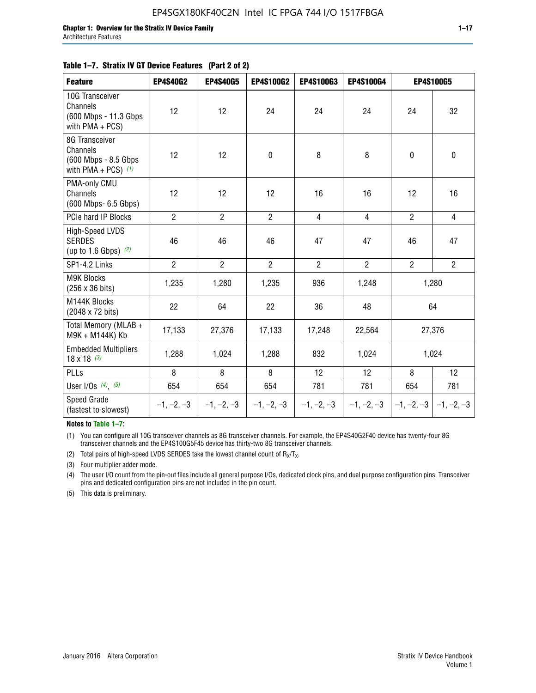|  | Table 1–7. Stratix IV GT Device Features (Part 2 of 2) |  |
|--|--------------------------------------------------------|--|
|--|--------------------------------------------------------|--|

| <b>Feature</b>                                                               | <b>EP4S40G2</b> | <b>EP4S40G5</b> | EP4S100G2      | <b>EP4S100G3</b> | EP4S100G4      | <b>EP4S100G5</b>          |                |
|------------------------------------------------------------------------------|-----------------|-----------------|----------------|------------------|----------------|---------------------------|----------------|
| 10G Transceiver<br>Channels<br>(600 Mbps - 11.3 Gbps)<br>with $PMA + PCS$ )  | 12              | 12              | 24             | 24               | 24             | 24                        | 32             |
| 8G Transceiver<br>Channels<br>(600 Mbps - 8.5 Gbps)<br>with PMA + PCS) $(1)$ | 12              | 12              | 0              | 8                | 8              | $\pmb{0}$                 | 0              |
| PMA-only CMU<br>Channels<br>(600 Mbps- 6.5 Gbps)                             | 12              | 12              | 12             | 16               | 16             | 12                        | 16             |
| PCIe hard IP Blocks                                                          | $\overline{2}$  | $\overline{2}$  | $\overline{2}$ | $\overline{4}$   | $\overline{4}$ | $\overline{2}$            | $\overline{4}$ |
| <b>High-Speed LVDS</b><br><b>SERDES</b><br>(up to 1.6 Gbps) $(2)$            | 46              | 46              | 46             | 47               | 47             | 46                        | 47             |
| SP1-4.2 Links                                                                | $\overline{2}$  | $\overline{2}$  | $\overline{2}$ | $\overline{2}$   | $\overline{2}$ | $\overline{2}$            | $\overline{2}$ |
| <b>M9K Blocks</b><br>(256 x 36 bits)                                         | 1,235           | 1,280           | 1,235          | 936              | 1,248          |                           | 1,280          |
| M144K Blocks<br>(2048 x 72 bits)                                             | 22              | 64              | 22             | 36               | 48             |                           | 64             |
| Total Memory (MLAB +<br>M9K + M144K) Kb                                      | 17,133          | 27,376          | 17,133         | 17,248           | 22,564         |                           | 27,376         |
| <b>Embedded Multipliers</b><br>$18 \times 18^{(3)}$                          | 1,288           | 1,024           | 1,288          | 832              | 1,024          |                           | 1,024          |
| PLLs                                                                         | 8               | 8               | 8              | 12               | 12             | 8                         | 12             |
| User I/Os $(4)$ , $(5)$                                                      | 654             | 654             | 654            | 781              | 781            | 654                       | 781            |
| Speed Grade<br>(fastest to slowest)                                          | $-1, -2, -3$    | $-1, -2, -3$    | $-1, -2, -3$   | $-1, -2, -3$     | $-1, -2, -3$   | $ -1, -2, -3  -1, -2, -3$ |                |

**Notes to Table 1–7:**

(1) You can configure all 10G transceiver channels as 8G transceiver channels. For example, the EP4S40G2F40 device has twenty-four 8G transceiver channels and the EP4S100G5F45 device has thirty-two 8G transceiver channels.

(2) Total pairs of high-speed LVDS SERDES take the lowest channel count of  $R_X/T_X$ .

(3) Four multiplier adder mode.

(4) The user I/O count from the pin-out files include all general purpose I/Os, dedicated clock pins, and dual purpose configuration pins. Transceiver pins and dedicated configuration pins are not included in the pin count.

(5) This data is preliminary.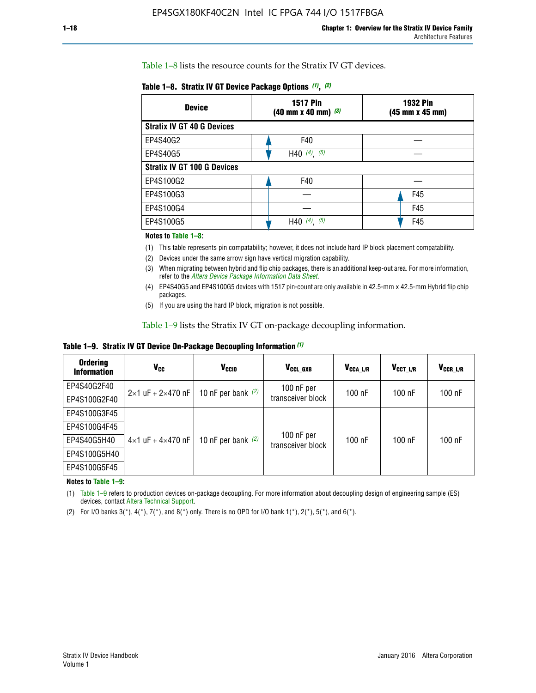Table 1–8 lists the resource counts for the Stratix IV GT devices.

|  | Table 1-8. Stratix IV GT Device Package Options (1), (2) |  |  |  |  |  |
|--|----------------------------------------------------------|--|--|--|--|--|
|--|----------------------------------------------------------|--|--|--|--|--|

| <b>Device</b>                      | <b>1517 Pin</b><br>$(40 \text{ mm} \times 40 \text{ mm})$ $(3)$ | <b>1932 Pin</b><br>(45 mm x 45 mm) |  |
|------------------------------------|-----------------------------------------------------------------|------------------------------------|--|
| <b>Stratix IV GT 40 G Devices</b>  |                                                                 |                                    |  |
| EP4S40G2                           | F40                                                             |                                    |  |
| EP4S40G5                           | H40 $(4)$ , $(5)$                                               |                                    |  |
| <b>Stratix IV GT 100 G Devices</b> |                                                                 |                                    |  |
| EP4S100G2                          | F40                                                             |                                    |  |
| EP4S100G3                          |                                                                 | F45                                |  |
| EP4S100G4                          |                                                                 | F45                                |  |
| EP4S100G5                          | (5)<br>$(4)$ ,<br>H40                                           | F45                                |  |

#### **Notes to Table 1–8:**

(1) This table represents pin compatability; however, it does not include hard IP block placement compatability.

- (2) Devices under the same arrow sign have vertical migration capability.
- (3) When migrating between hybrid and flip chip packages, there is an additional keep-out area. For more information, refer to the *[Altera Device Package Information Data Sheet](http://www.altera.com/literature/ds/dspkg.pdf)*.
- (4) EP4S40G5 and EP4S100G5 devices with 1517 pin-count are only available in 42.5-mm x 42.5-mm Hybrid flip chip packages.
- (5) If you are using the hard IP block, migration is not possible.

Table 1–9 lists the Stratix IV GT on-package decoupling information.

**Table 1–9. Stratix IV GT Device On-Package Decoupling Information** *(1)*

| <b>Ordering</b><br><b>Information</b> | Vcc                                 | <b>V<sub>CCIO</sub></b> | V <sub>CCL GXB</sub>            | V <sub>CCA_L/R</sub> | V <sub>CCT L/R</sub> | $V_{CCR\_L/R}$ |
|---------------------------------------|-------------------------------------|-------------------------|---------------------------------|----------------------|----------------------|----------------|
| EP4S40G2F40                           | $2 \times 1$ uF + $2 \times 470$ nF | 10 nF per bank $(2)$    | 100 nF per                      | $100$ nF             | 100 nF               | 100 nF         |
| EP4S100G2F40                          |                                     |                         | transceiver block               |                      |                      |                |
| EP4S100G3F45                          |                                     |                         |                                 |                      |                      |                |
| EP4S100G4F45                          |                                     | 10 nF per bank $(2)$    | 100 nF per<br>transceiver block | $100$ nF             | $100$ nF             | $100$ nF       |
| EP4S40G5H40                           | $4 \times 1$ uF + $4 \times 470$ nF |                         |                                 |                      |                      |                |
| EP4S100G5H40                          |                                     |                         |                                 |                      |                      |                |
| EP4S100G5F45                          |                                     |                         |                                 |                      |                      |                |

**Notes to Table 1–9:**

(1) Table 1–9 refers to production devices on-package decoupling. For more information about decoupling design of engineering sample (ES) devices, contact [Altera Technical Support](http://mysupport.altera.com/eservice/login.asp).

(2) For I/O banks  $3(*)$ ,  $4(*)$ ,  $7(*)$ , and  $8(*)$  only. There is no OPD for I/O bank  $1(*)$ ,  $2(*)$ ,  $5(*)$ , and  $6(*)$ .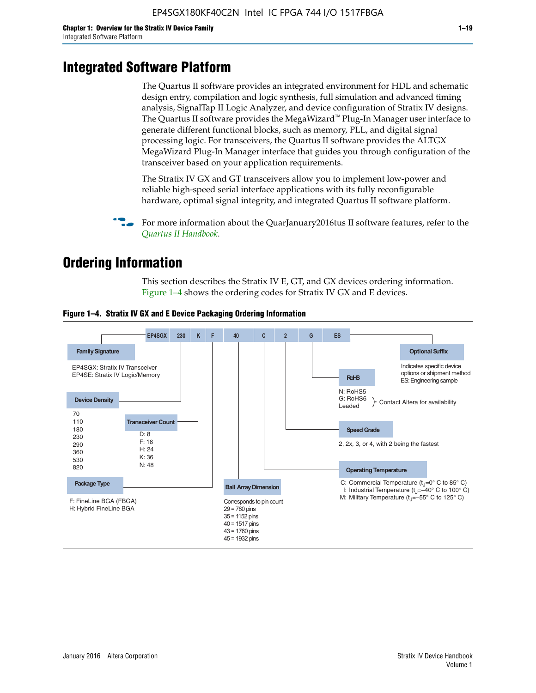# **Integrated Software Platform**

The Quartus II software provides an integrated environment for HDL and schematic design entry, compilation and logic synthesis, full simulation and advanced timing analysis, SignalTap II Logic Analyzer, and device configuration of Stratix IV designs. The Quartus II software provides the MegaWizard<sup> $M$ </sup> Plug-In Manager user interface to generate different functional blocks, such as memory, PLL, and digital signal processing logic. For transceivers, the Quartus II software provides the ALTGX MegaWizard Plug-In Manager interface that guides you through configuration of the transceiver based on your application requirements.

The Stratix IV GX and GT transceivers allow you to implement low-power and reliable high-speed serial interface applications with its fully reconfigurable hardware, optimal signal integrity, and integrated Quartus II software platform.

For more information about the QuarJanuary2016tus II software features, refer to the *[Quartus II Handbook](http://www.altera.com/literature/lit-qts.jsp)*.

# **Ordering Information**

This section describes the Stratix IV E, GT, and GX devices ordering information. Figure 1–4 shows the ordering codes for Stratix IV GX and E devices.



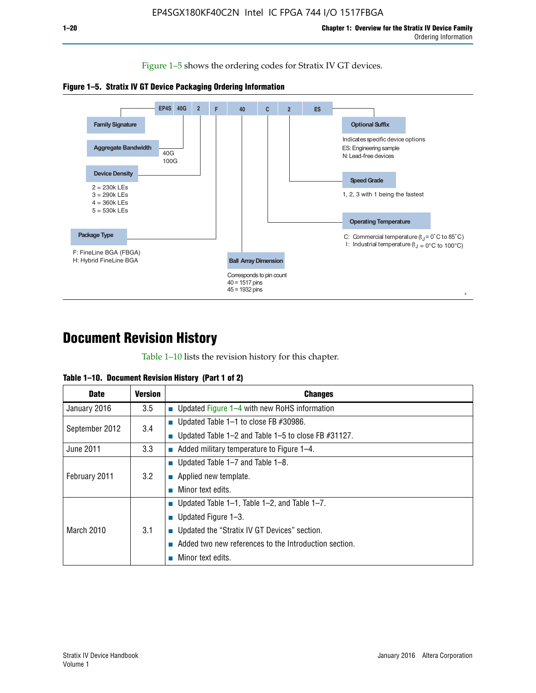Figure 1–5 shows the ordering codes for Stratix IV GT devices.





# **Document Revision History**

Table 1–10 lists the revision history for this chapter.

| Table 1–10. Document Revision History (Part 1 of 2) |  |  |  |  |  |
|-----------------------------------------------------|--|--|--|--|--|
|-----------------------------------------------------|--|--|--|--|--|

| <b>Date</b>       | <b>Version</b> | <b>Changes</b>                                              |
|-------------------|----------------|-------------------------------------------------------------|
| January 2016      | 3.5            | ■ Updated Figure $1-4$ with new RoHS information            |
| September 2012    | 3.4            | ■ Updated Table 1–1 to close FB $#30986$ .                  |
|                   |                | Updated Table $1-2$ and Table $1-5$ to close FB $\#31127$ . |
| June 2011         | 3.3            | $\blacksquare$ Added military temperature to Figure 1–4.    |
| February 2011     | 3.2            | ■ Updated Table 1–7 and Table 1–8.                          |
|                   |                | • Applied new template.                                     |
|                   |                | Minor text edits.                                           |
| <b>March 2010</b> | 3.1            | ■ Updated Table 1–1, Table 1–2, and Table 1–7.              |
|                   |                | ■ Updated Figure $1-3$ .                                    |
|                   |                | Updated the "Stratix IV GT Devices" section.                |
|                   |                | Added two new references to the Introduction section.       |
|                   |                | Minor text edits.                                           |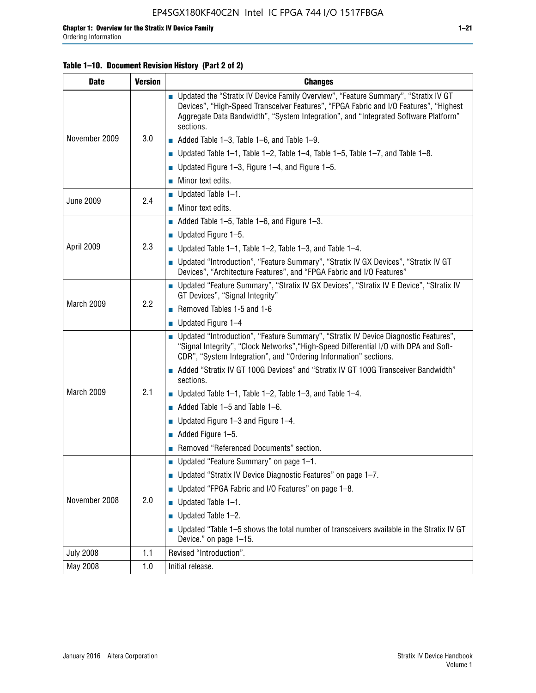#### **Table 1–10. Document Revision History (Part 2 of 2)**

| <b>Date</b>      | <b>Version</b> | <b>Changes</b>                                                                                                                                                                                                                                                                    |  |  |
|------------------|----------------|-----------------------------------------------------------------------------------------------------------------------------------------------------------------------------------------------------------------------------------------------------------------------------------|--|--|
|                  |                | ■ Updated the "Stratix IV Device Family Overview", "Feature Summary", "Stratix IV GT<br>Devices", "High-Speed Transceiver Features", "FPGA Fabric and I/O Features", "Highest<br>Aggregate Data Bandwidth", "System Integration", and "Integrated Software Platform"<br>sections. |  |  |
| November 2009    | 3.0            | $\blacksquare$ Added Table 1-3, Table 1-6, and Table 1-9.                                                                                                                                                                                                                         |  |  |
|                  |                | $\blacksquare$ Updated Table 1-1, Table 1-2, Table 1-4, Table 1-5, Table 1-7, and Table 1-8.                                                                                                                                                                                      |  |  |
|                  |                | ■ Updated Figure 1–3, Figure 1–4, and Figure 1–5.                                                                                                                                                                                                                                 |  |  |
|                  |                | $\blacksquare$ Minor text edits.                                                                                                                                                                                                                                                  |  |  |
| <b>June 2009</b> | 2.4            | $\blacksquare$ Updated Table 1-1.                                                                                                                                                                                                                                                 |  |  |
|                  |                | Minor text edits.                                                                                                                                                                                                                                                                 |  |  |
|                  |                | $\blacksquare$ Added Table 1–5, Table 1–6, and Figure 1–3.                                                                                                                                                                                                                        |  |  |
|                  |                | $\blacksquare$ Updated Figure 1-5.                                                                                                                                                                                                                                                |  |  |
| April 2009       | 2.3            | Updated Table $1-1$ , Table $1-2$ , Table $1-3$ , and Table $1-4$ .                                                                                                                                                                                                               |  |  |
|                  |                | ■ Updated "Introduction", "Feature Summary", "Stratix IV GX Devices", "Stratix IV GT<br>Devices", "Architecture Features", and "FPGA Fabric and I/O Features"                                                                                                                     |  |  |
|                  | 2.2            | ■ Updated "Feature Summary", "Stratix IV GX Devices", "Stratix IV E Device", "Stratix IV<br>GT Devices", "Signal Integrity"                                                                                                                                                       |  |  |
| March 2009       |                | Removed Tables 1-5 and 1-6                                                                                                                                                                                                                                                        |  |  |
|                  |                | Updated Figure 1-4                                                                                                                                                                                                                                                                |  |  |
|                  |                | ■ Updated "Introduction", "Feature Summary", "Stratix IV Device Diagnostic Features",<br>"Signal Integrity", "Clock Networks", "High-Speed Differential I/O with DPA and Soft-<br>CDR", "System Integration", and "Ordering Information" sections.                                |  |  |
|                  |                | Added "Stratix IV GT 100G Devices" and "Stratix IV GT 100G Transceiver Bandwidth"<br>sections.                                                                                                                                                                                    |  |  |
| March 2009       | 2.1            | <b>Updated Table 1–1, Table 1–2, Table 1–3, and Table 1–4.</b>                                                                                                                                                                                                                    |  |  |
|                  |                | $\blacksquare$ Added Table 1-5 and Table 1-6.                                                                                                                                                                                                                                     |  |  |
|                  |                | ■ Updated Figure $1-3$ and Figure $1-4$ .                                                                                                                                                                                                                                         |  |  |
|                  |                | $\blacksquare$ Added Figure 1-5.                                                                                                                                                                                                                                                  |  |  |
|                  |                | Removed "Referenced Documents" section.                                                                                                                                                                                                                                           |  |  |
|                  |                | Updated "Feature Summary" on page 1-1.                                                                                                                                                                                                                                            |  |  |
|                  |                | ■ Updated "Stratix IV Device Diagnostic Features" on page 1-7.                                                                                                                                                                                                                    |  |  |
| November 2008    | 2.0            | Updated "FPGA Fabric and I/O Features" on page 1-8.                                                                                                                                                                                                                               |  |  |
|                  |                | $\blacksquare$ Updated Table 1-1.                                                                                                                                                                                                                                                 |  |  |
|                  |                | Updated Table 1-2.                                                                                                                                                                                                                                                                |  |  |
|                  |                | Updated "Table 1-5 shows the total number of transceivers available in the Stratix IV GT<br>Device." on page 1-15.                                                                                                                                                                |  |  |
| <b>July 2008</b> | 1.1            | Revised "Introduction".                                                                                                                                                                                                                                                           |  |  |
| May 2008         | 1.0            | Initial release.                                                                                                                                                                                                                                                                  |  |  |